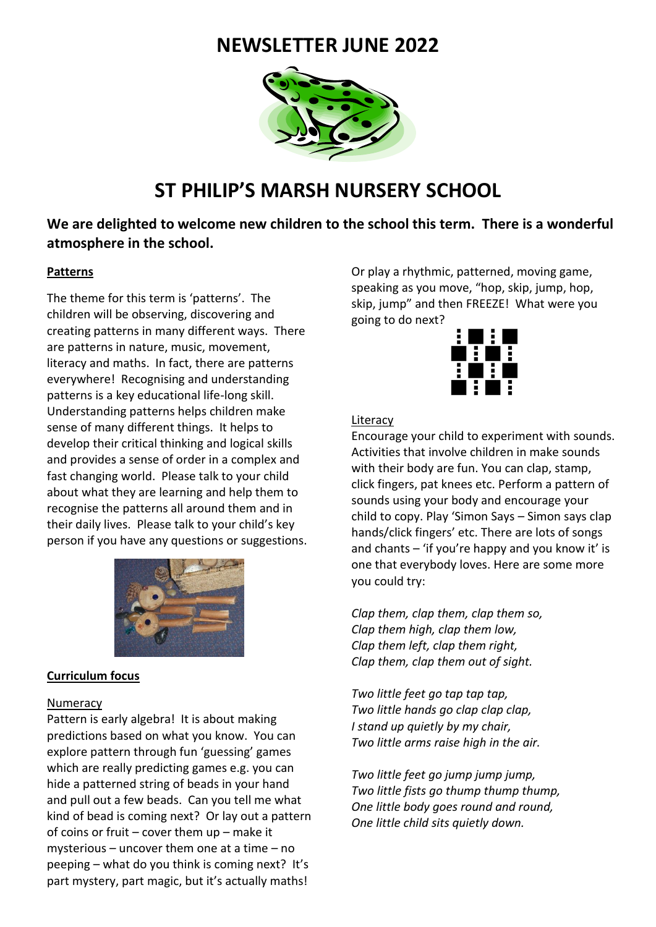# **NEWSLETTER JUNE 2022**



# **ST PHILIP'S MARSH NURSERY SCHOOL**

**We are delighted to welcome new children to the school this term. There is a wonderful atmosphere in the school.** 

#### **Patterns**

The theme for this term is 'patterns'. The children will be observing, discovering and creating patterns in many different ways. There are patterns in nature, music, movement, literacy and maths. In fact, there are patterns everywhere! Recognising and understanding patterns is a key educational life-long skill. Understanding patterns helps children make sense of many different things. It helps to develop their critical thinking and logical skills and provides a sense of order in a complex and fast changing world. Please talk to your child about what they are learning and help them to recognise the patterns all around them and in their daily lives. Please talk to your child's key person if you have any questions or suggestions.



#### **Curriculum focus**

#### **Numeracy**

Pattern is early algebra! It is about making predictions based on what you know. You can explore pattern through fun 'guessing' games which are really predicting games e.g. you can hide a patterned string of beads in your hand and pull out a few beads. Can you tell me what kind of bead is coming next? Or lay out a pattern of coins or fruit – cover them up – make it mysterious – uncover them one at a time – no peeping – what do you think is coming next? It's part mystery, part magic, but it's actually maths!

Or play a rhythmic, patterned, moving game, speaking as you move, "hop, skip, jump, hop, skip, jump" and then FREEZE! What were you going to do next?



#### Literacy

Encourage your child to experiment with sounds. Activities that involve children in make sounds with their body are fun. You can clap, stamp, click fingers, pat knees etc. Perform a pattern of sounds using your body and encourage your child to copy. Play 'Simon Says – Simon says clap hands/click fingers' etc. There are lots of songs and chants – 'if you're happy and you know it' is one that everybody loves. Here are some more you could try:

*Clap them, clap them, clap them so, Clap them high, clap them low, Clap them left, clap them right, Clap them, clap them out of sight.*

*Two little feet go tap tap tap, Two little hands go clap clap clap, I stand up quietly by my chair, Two little arms raise high in the air.*

*Two little feet go jump jump jump, Two little fists go thump thump thump, One little body goes round and round, One little child sits quietly down.*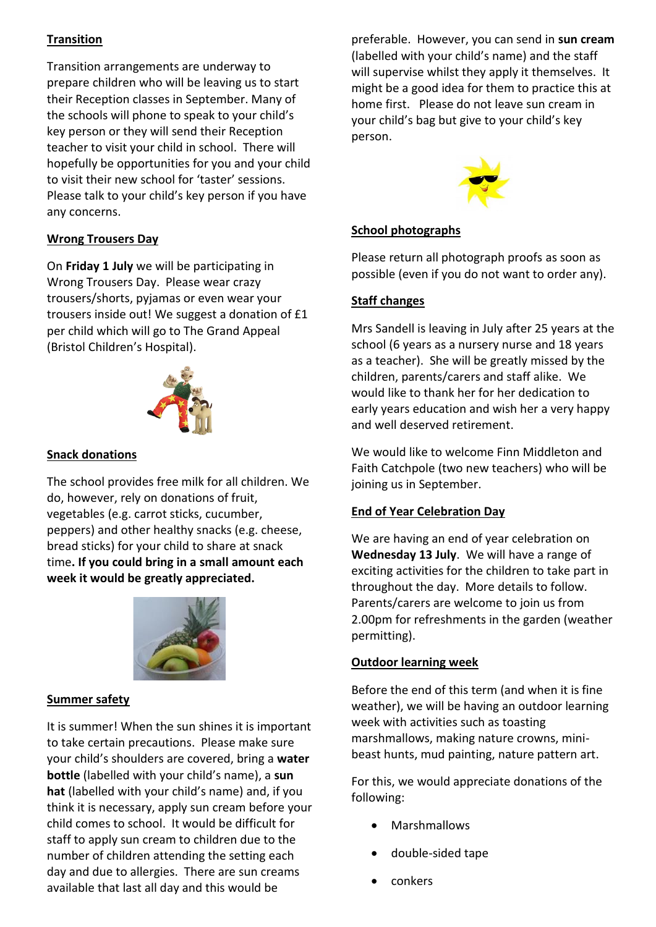# **Transition**

Transition arrangements are underway to prepare children who will be leaving us to start their Reception classes in September. Many of the schools will phone to speak to your child's key person or they will send their Reception teacher to visit your child in school. There will hopefully be opportunities for you and your child to visit their new school for 'taster' sessions. Please talk to your child's key person if you have any concerns.

# **Wrong Trousers Day**

On **Friday 1 July** we will be participating in Wrong Trousers Day. Please wear crazy trousers/shorts, pyjamas or even wear your trousers inside out! We suggest a donation of £1 per child which will go to The Grand Appeal (Bristol Children's Hospital).



## **Snack donations**

The school provides free milk for all children. We do, however, rely on donations of fruit, vegetables (e.g. carrot sticks, cucumber, peppers) and other healthy snacks (e.g. cheese, bread sticks) for your child to share at snack time**. If you could bring in a small amount each week it would be greatly appreciated.**



### **Summer safety**

It is summer! When the sun shines it is important to take certain precautions. Please make sure your child's shoulders are covered, bring a **water bottle** (labelled with your child's name), a **sun hat** (labelled with your child's name) and, if you think it is necessary, apply sun cream before your child comes to school. It would be difficult for staff to apply sun cream to children due to the number of children attending the setting each day and due to allergies. There are sun creams available that last all day and this would be

preferable. However, you can send in **sun cream** (labelled with your child's name) and the staff will supervise whilst they apply it themselves. It might be a good idea for them to practice this at home first. Please do not leave sun cream in your child's bag but give to your child's key person.



# **School photographs**

Please return all photograph proofs as soon as possible (even if you do not want to order any).

## **Staff changes**

Mrs Sandell is leaving in July after 25 years at the school (6 years as a nursery nurse and 18 years as a teacher). She will be greatly missed by the children, parents/carers and staff alike. We would like to thank her for her dedication to early years education and wish her a very happy and well deserved retirement.

We would like to welcome Finn Middleton and Faith Catchpole (two new teachers) who will be joining us in September.

### **End of Year Celebration Day**

We are having an end of year celebration on **Wednesday 13 July**. We will have a range of exciting activities for the children to take part in throughout the day. More details to follow. Parents/carers are welcome to join us from 2.00pm for refreshments in the garden (weather permitting).

### **Outdoor learning week**

Before the end of this term (and when it is fine weather), we will be having an outdoor learning week with activities such as toasting marshmallows, making nature crowns, minibeast hunts, mud painting, nature pattern art.

For this, we would appreciate donations of the following:

- Marshmallows
- double-sided tape
- conkers